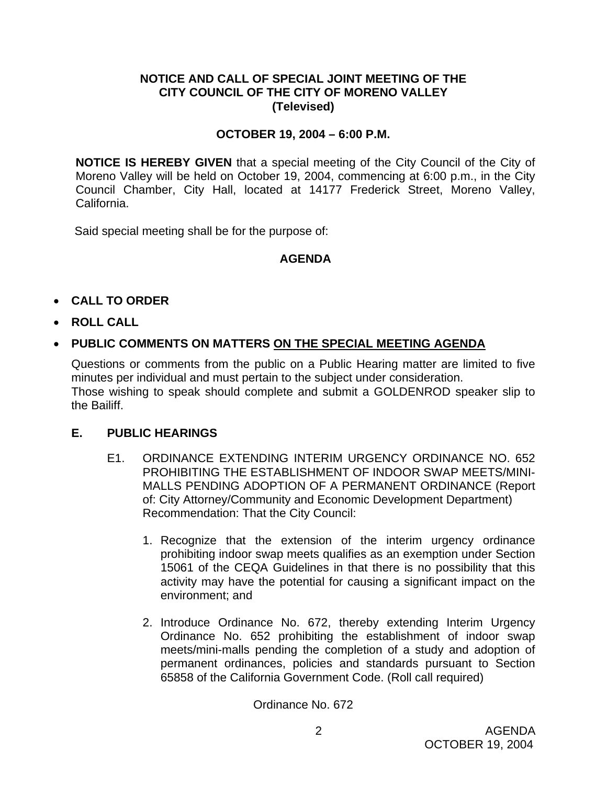### **NOTICE AND CALL OF SPECIAL JOINT MEETING OF THE CITY COUNCIL OF THE CITY OF MORENO VALLEY (Televised)**

## **OCTOBER 19, 2004 – 6:00 P.M.**

**NOTICE IS HEREBY GIVEN** that a special meeting of the City Council of the City of Moreno Valley will be held on October 19, 2004, commencing at 6:00 p.m., in the City Council Chamber, City Hall, located at 14177 Frederick Street, Moreno Valley, California.

Said special meeting shall be for the purpose of:

## **AGENDA**

- **CALL TO ORDER**
- **ROLL CALL**

## • **PUBLIC COMMENTS ON MATTERS ON THE SPECIAL MEETING AGENDA**

Questions or comments from the public on a Public Hearing matter are limited to five minutes per individual and must pertain to the subject under consideration. Those wishing to speak should complete and submit a GOLDENROD speaker slip to the Bailiff.

#### **E. PUBLIC HEARINGS**

- E1. ORDINANCE EXTENDING INTERIM URGENCY ORDINANCE NO. 652 PROHIBITING THE ESTABLISHMENT OF INDOOR SWAP MEETS/MINI-MALLS PENDING ADOPTION OF A PERMANENT ORDINANCE (Report of: City Attorney/Community and Economic Development Department) Recommendation: That the City Council:
	- 1. Recognize that the extension of the interim urgency ordinance prohibiting indoor swap meets qualifies as an exemption under Section 15061 of the CEQA Guidelines in that there is no possibility that this activity may have the potential for causing a significant impact on the environment; and
	- 2. Introduce Ordinance No. 672, thereby extending Interim Urgency Ordinance No. 652 prohibiting the establishment of indoor swap meets/mini-malls pending the completion of a study and adoption of permanent ordinances, policies and standards pursuant to Section 65858 of the California Government Code. (Roll call required)

Ordinance No. 672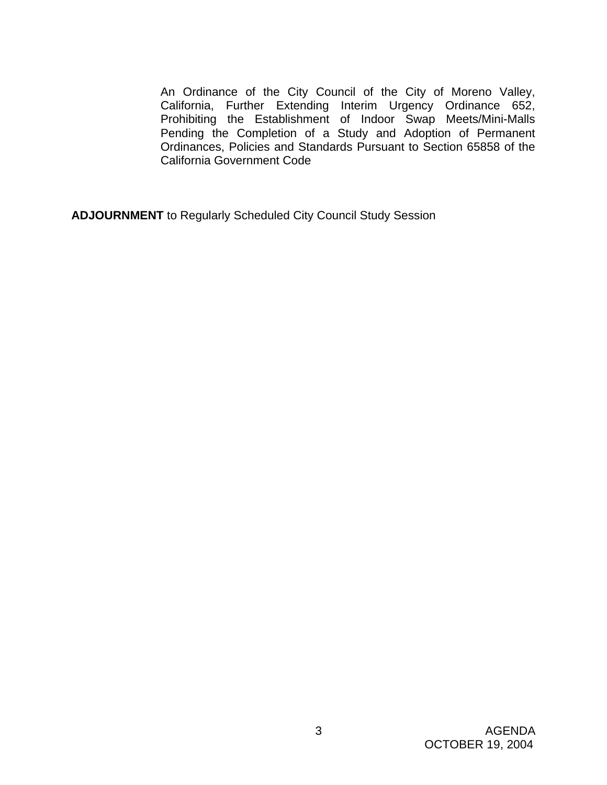An Ordinance of the City Council of the City of Moreno Valley, California, Further Extending Interim Urgency Ordinance 652, Prohibiting the Establishment of Indoor Swap Meets/Mini-Malls Pending the Completion of a Study and Adoption of Permanent Ordinances, Policies and Standards Pursuant to Section 65858 of the California Government Code

**ADJOURNMENT** to Regularly Scheduled City Council Study Session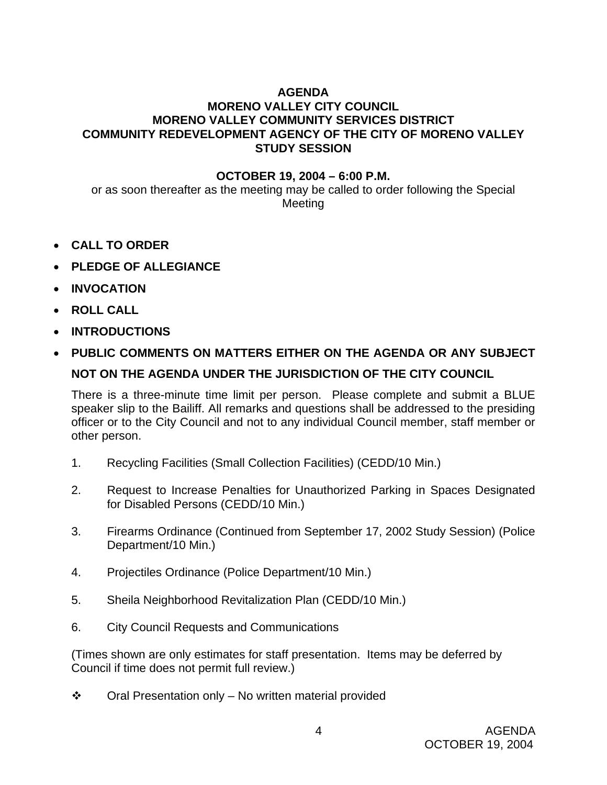# **AGENDA**

# **MORENO VALLEY CITY COUNCIL MORENO VALLEY COMMUNITY SERVICES DISTRICT COMMUNITY REDEVELOPMENT AGENCY OF THE CITY OF MORENO VALLEY STUDY SESSION**

### **OCTOBER 19, 2004 – 6:00 P.M.**

or as soon thereafter as the meeting may be called to order following the Special Meeting

- **CALL TO ORDER**
- **PLEDGE OF ALLEGIANCE**
- **INVOCATION**
- **ROLL CALL**
- **INTRODUCTIONS**
- **PUBLIC COMMENTS ON MATTERS EITHER ON THE AGENDA OR ANY SUBJECT NOT ON THE AGENDA UNDER THE JURISDICTION OF THE CITY COUNCIL**

There is a three-minute time limit per person. Please complete and submit a BLUE speaker slip to the Bailiff. All remarks and questions shall be addressed to the presiding officer or to the City Council and not to any individual Council member, staff member or other person.

- 1. Recycling Facilities (Small Collection Facilities) (CEDD/10 Min.)
- 2. Request to Increase Penalties for Unauthorized Parking in Spaces Designated for Disabled Persons (CEDD/10 Min.)
- 3. Firearms Ordinance (Continued from September 17, 2002 Study Session) (Police Department/10 Min.)
- 4. Projectiles Ordinance (Police Department/10 Min.)
- 5. Sheila Neighborhood Revitalization Plan (CEDD/10 Min.)
- 6. City Council Requests and Communications

(Times shown are only estimates for staff presentation. Items may be deferred by Council if time does not permit full review.)

 $\div$  Oral Presentation only – No written material provided